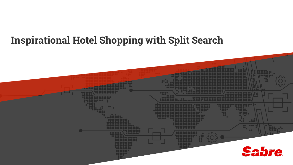## **Inspirational Hotel Shopping with Split Search**

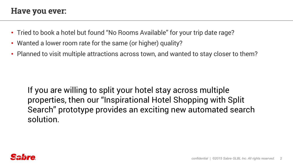#### **Have you ever:**

- Tried to book a hotel but found "No Rooms Available" for your trip date rage?
- Wanted a lower room rate for the same (or higher) quality?
- Planned to visit multiple attractions across town, and wanted to stay closer to them?

If you are willing to split your hotel stay across multiple properties, then our "Inspirational Hotel Shopping with Split Search" prototype provides an exciting new automated search solution.

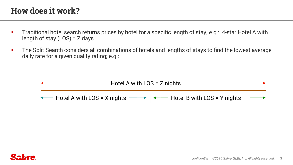#### **How does it work?**

- § Traditional hotel search returns prices by hotel for a specific length of stay; e.g.: 4-star Hotel A with length of stay (LOS) = Z days
- The Split Search considers all combinations of hotels and lengths of stays to find the lowest average daily rate for a given quality rating; e.g.:



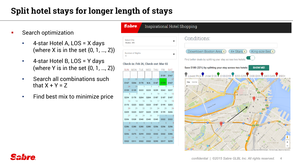### **Split hotel stays for longer length of stays**

\$167

\$159

\$234

\$170 \$209

\$286

- § Search optimization
	- 4-star Hotel A, LOS = X days (where X is in the set  $\{0, 1, ..., Z\}$ )
	- 4-star Hotel B, LOS = Y days (where Y is in the set  $\{0, 1, ..., Z\}$ )
	- Search all combinations such that  $X + Y = Z$
	- Find best mix to minimize price

#### **Sabre** Inspirational Hotel Shopping Conditions: **Select City**  $\blacksquare$ Boston, MA Downtown Boston Area X)  $4 + Stars X$ King-size Bed X Number of Nights Find better deals by splitting your stay across two hotels Check-in: Feb 26, Check-out: Mar 02 Save \$180 (22%) by splitting your stay across two hotels: **SHOW ME!** SUN MON TUE WED THU FRI **SAT Y** Lowest Price Under \$100 Y \$100-\$199 Y \$200-\$299 S300-\$399 S400-\$499 S500+ \$159 \$167 \$167  $$147$ ongfellow Bride Cambridge S \$203 \$322  $$256$  $$256$ SHAWMU **\$299** \$322 \$322 \$322 \$386 \$322 \$311 \$322 \$322 \$293 \$317